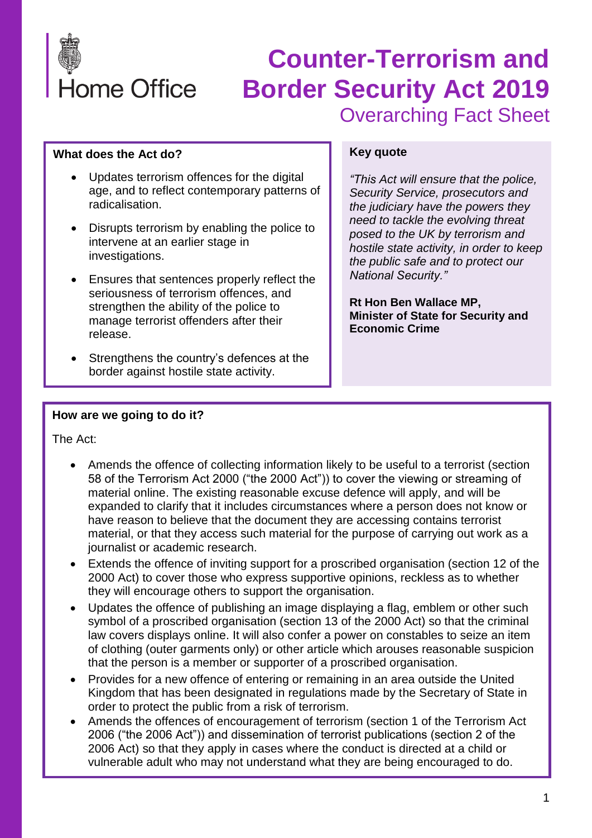

#### **What does the Act do?**

- Updates terrorism offences for the digital age, and to reflect contemporary patterns of radicalisation.
- Disrupts terrorism by enabling the police to intervene at an earlier stage in investigations.
- Ensures that sentences properly reflect the seriousness of terrorism offences, and strengthen the ability of the police to manage terrorist offenders after their release.
- Strengthens the country's defences at the border against hostile state activity.

#### **Key quote**

*"This Act will ensure that the police, Security Service, prosecutors and the judiciary have the powers they need to tackle the evolving threat posed to the UK by terrorism and hostile state activity, in order to keep the public safe and to protect our National Security."*

**Rt Hon Ben Wallace MP, Minister of State for Security and Economic Crime**

### **How are we going to do it?**

The Act:

- Amends the offence of collecting information likely to be useful to a terrorist (section 58 of the Terrorism Act 2000 ("the 2000 Act")) to cover the viewing or streaming of material online. The existing reasonable excuse defence will apply, and will be expanded to clarify that it includes circumstances where a person does not know or have reason to believe that the document they are accessing contains terrorist material, or that they access such material for the purpose of carrying out work as a journalist or academic research.
- Extends the offence of inviting support for a proscribed organisation (section 12 of the 2000 Act) to cover those who express supportive opinions, reckless as to whether they will encourage others to support the organisation.
- Updates the offence of publishing an image displaying a flag, emblem or other such symbol of a proscribed organisation (section 13 of the 2000 Act) so that the criminal law covers displays online. It will also confer a power on constables to seize an item of clothing (outer garments only) or other article which arouses reasonable suspicion that the person is a member or supporter of a proscribed organisation.
- Provides for a new offence of entering or remaining in an area outside the United Kingdom that has been designated in regulations made by the Secretary of State in order to protect the public from a risk of terrorism.
- Amends the offences of encouragement of terrorism (section 1 of the Terrorism Act 2006 ("the 2006 Act")) and dissemination of terrorist publications (section 2 of the 2006 Act) so that they apply in cases where the conduct is directed at a child or vulnerable adult who may not understand what they are being encouraged to do.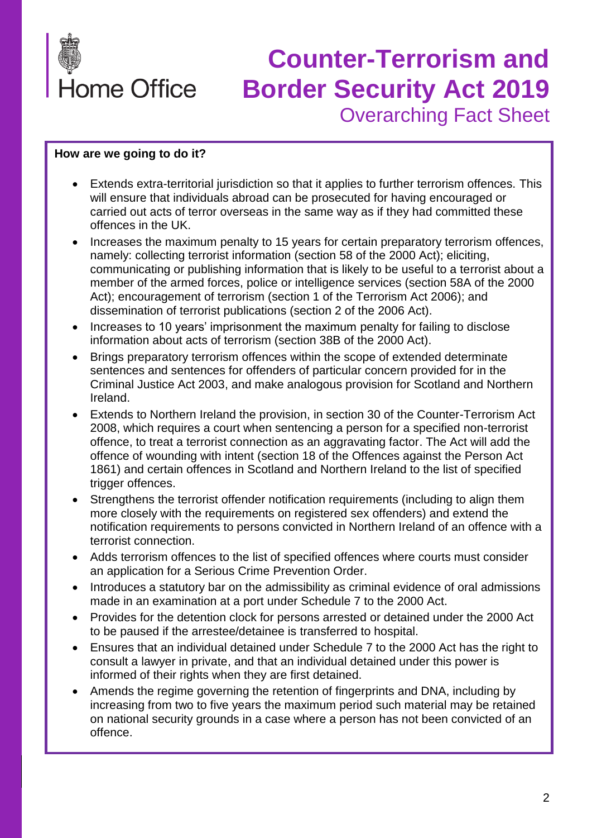

#### **How are we going to do it?**

- Extends extra-territorial jurisdiction so that it applies to further terrorism offences. This will ensure that individuals abroad can be prosecuted for having encouraged or carried out acts of terror overseas in the same way as if they had committed these offences in the UK.
- Increases the maximum penalty to 15 years for certain preparatory terrorism offences, namely: collecting terrorist information (section 58 of the 2000 Act); eliciting, communicating or publishing information that is likely to be useful to a terrorist about a member of the armed forces, police or intelligence services (section 58A of the 2000 Act); encouragement of terrorism (section 1 of the Terrorism Act 2006); and dissemination of terrorist publications (section 2 of the 2006 Act).
- Increases to 10 years' imprisonment the maximum penalty for failing to disclose information about acts of terrorism (section 38B of the 2000 Act).
- Brings preparatory terrorism offences within the scope of extended determinate sentences and sentences for offenders of particular concern provided for in the Criminal Justice Act 2003, and make analogous provision for Scotland and Northern Ireland.
- Extends to Northern Ireland the provision, in section 30 of the Counter-Terrorism Act 2008, which requires a court when sentencing a person for a specified non-terrorist offence, to treat a terrorist connection as an aggravating factor. The Act will add the offence of wounding with intent (section 18 of the Offences against the Person Act 1861) and certain offences in Scotland and Northern Ireland to the list of specified trigger offences.
- Strengthens the terrorist offender notification requirements (including to align them more closely with the requirements on registered sex offenders) and extend the notification requirements to persons convicted in Northern Ireland of an offence with a terrorist connection.
- Adds terrorism offences to the list of specified offences where courts must consider an application for a Serious Crime Prevention Order.
- Introduces a statutory bar on the admissibility as criminal evidence of oral admissions made in an examination at a port under Schedule 7 to the 2000 Act.
- Provides for the detention clock for persons arrested or detained under the 2000 Act to be paused if the arrestee/detainee is transferred to hospital.
- Ensures that an individual detained under Schedule 7 to the 2000 Act has the right to consult a lawyer in private, and that an individual detained under this power is informed of their rights when they are first detained.
- Amends the regime governing the retention of fingerprints and DNA, including by increasing from two to five years the maximum period such material may be retained on national security grounds in a case where a person has not been convicted of an offence.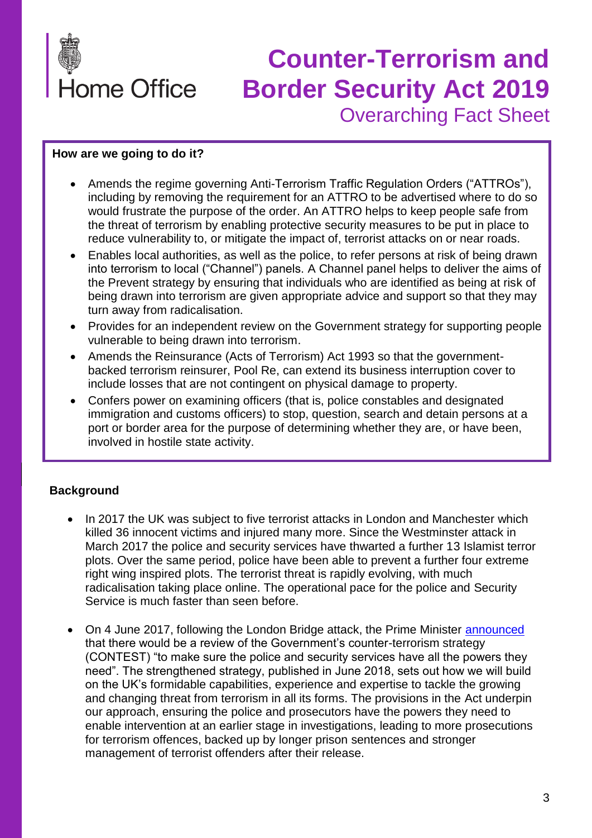

#### **How are we going to do it?**

- Amends the regime governing Anti-Terrorism Traffic Regulation Orders ("ATTROs"), including by removing the requirement for an ATTRO to be advertised where to do so would frustrate the purpose of the order. An ATTRO helps to keep people safe from the threat of terrorism by enabling protective security measures to be put in place to reduce vulnerability to, or mitigate the impact of, terrorist attacks on or near roads.
- Enables local authorities, as well as the police, to refer persons at risk of being drawn into terrorism to local ("Channel") panels. A Channel panel helps to deliver the aims of the Prevent strategy by ensuring that individuals who are identified as being at risk of being drawn into terrorism are given appropriate advice and support so that they may turn away from radicalisation.
- Provides for an independent review on the Government strategy for supporting people vulnerable to being drawn into terrorism.
- Amends the Reinsurance (Acts of Terrorism) Act 1993 so that the governmentbacked terrorism reinsurer, Pool Re, can extend its business interruption cover to include losses that are not contingent on physical damage to property.
- Confers power on examining officers (that is, police constables and designated immigration and customs officers) to stop, question, search and detain persons at a port or border area for the purpose of determining whether they are, or have been, involved in hostile state activity.

#### **Background**

- In 2017 the UK was subject to five terrorist attacks in London and Manchester which killed 36 innocent victims and injured many more. Since the Westminster attack in March 2017 the police and security services have thwarted a further 13 Islamist terror plots. Over the same period, police have been able to prevent a further four extreme right wing inspired plots. The terrorist threat is rapidly evolving, with much radicalisation taking place online. The operational pace for the police and Security Service is much faster than seen before.
- On 4 June 2017, following the London Bridge attack, the Prime Minister [announced](https://www.gov.uk/government/speeches/pm-statement-following-london-terror-attack-4-june-2017) that there would be a review of the Government's counter-terrorism strategy (CONTEST) "to make sure the police and security services have all the powers they need". The strengthened strategy, published in June 2018, sets out how we will build on the UK's formidable capabilities, experience and expertise to tackle the growing and changing threat from terrorism in all its forms. The provisions in the Act underpin our approach, ensuring the police and prosecutors have the powers they need to enable intervention at an earlier stage in investigations, leading to more prosecutions for terrorism offences, backed up by longer prison sentences and stronger management of terrorist offenders after their release.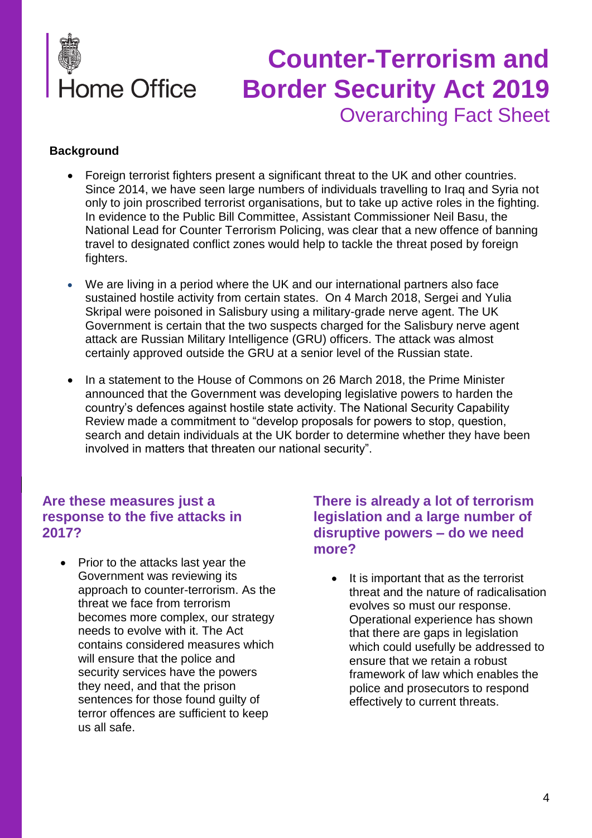

### **Background**

- Foreign terrorist fighters present a significant threat to the UK and other countries. Since 2014, we have seen large numbers of individuals travelling to Iraq and Syria not only to join proscribed terrorist organisations, but to take up active roles in the fighting. In evidence to the Public Bill Committee, Assistant Commissioner Neil Basu, the National Lead for Counter Terrorism Policing, was clear that a new offence of banning travel to designated conflict zones would help to tackle the threat posed by foreign fighters.
- We are living in a period where the UK and our international partners also face sustained hostile activity from certain states. On 4 March 2018, Sergei and Yulia Skripal were poisoned in Salisbury using a military-grade nerve agent. The UK Government is certain that the two suspects charged for the Salisbury nerve agent attack are Russian Military Intelligence (GRU) officers. The attack was almost certainly approved outside the GRU at a senior level of the Russian state.
- In a statement to the House of Commons on 26 March 2018, the Prime Minister announced that the Government was developing legislative powers to harden the country's defences against hostile state activity. The National Security Capability Review made a commitment to "develop proposals for powers to stop, question, search and detain individuals at the UK border to determine whether they have been involved in matters that threaten our national security".

## **Are these measures just a response to the five attacks in 2017?**

• Prior to the attacks last year the Government was reviewing its approach to counter-terrorism. As the threat we face from terrorism becomes more complex, our strategy needs to evolve with it. The Act contains considered measures which will ensure that the police and security services have the powers they need, and that the prison sentences for those found guilty of terror offences are sufficient to keep us all safe.

## **There is already a lot of terrorism legislation and a large number of disruptive powers – do we need more?**

It is important that as the terrorist threat and the nature of radicalisation evolves so must our response. Operational experience has shown that there are gaps in legislation which could usefully be addressed to ensure that we retain a robust framework of law which enables the police and prosecutors to respond effectively to current threats.